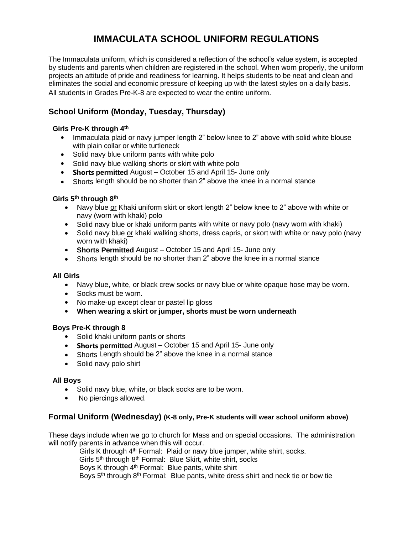# **IMMACULATA SCHOOL UNIFORM REGULATIONS**

The Immaculata uniform, which is considered a reflection of the school's value system, is accepted by students and parents when children are registered in the school. When worn properly, the uniform projects an attitude of pride and readiness for learning. It helps students to be neat and clean and eliminates the social and economic pressure of keeping up with the latest styles on a daily basis. All students in Grades Pre-K‐8 are expected to wear the entire uniform.

# **School Uniform (Monday, Tuesday, Thursday)**

## **Girls Pre-K through 4 th**

- Immaculata plaid or navy jumper length 2" below knee to 2" above with solid white blouse with plain collar or white turtleneck
- Solid navy blue uniform pants with white polo
- Solid navy blue walking shorts or skirt with white polo
- **Shorts permitted** August October 15 and April 15‐ June only
- Shorts length should be no shorter than 2" above the knee in a normal stance

## **Girls 5 th through 8 th**

- Navy blue or Khaki uniform skirt or skort length 2" below knee to 2" above with white or navy (worn with khaki) polo
- Solid navy blue or khaki uniform pants with white or navy polo (navy worn with khaki)
- Solid navy blue or khaki walking shorts, dress capris, or skort with white or navy polo (navy worn with khaki)
- **Shorts Permitted** August October 15 and April 15‐ June only
- Shorts length should be no shorter than 2" above the knee in a normal stance

#### **All Girls**

- Navy blue, white, or black crew socks or navy blue or white opaque hose may be worn.
- Socks must be worn.
- No make-up except clear or pastel lip gloss
- **When wearing a skirt or jumper, shorts must be worn underneath**

#### **Boys Pre-K through 8**

- Solid khaki uniform pants or shorts
- **Shorts permitted** August October 15 and April 15‐ June only
- Shorts Length should be 2" above the knee in a normal stance
- Solid navy polo shirt

#### **All Boys**

- Solid navy blue, white, or black socks are to be worn.
- No piercings allowed.

## **Formal Uniform (Wednesday) (K-8 only, Pre-K students will wear school uniform above)**

These days include when we go to church for Mass and on special occasions. The administration will notify parents in advance when this will occur.

Girls K through 4<sup>th</sup> Formal: Plaid or navy blue jumper, white shirt, socks. Girls 5<sup>th</sup> through 8<sup>th</sup> Formal: Blue Skirt, white shirt, socks Boys K through 4<sup>th</sup> Formal: Blue pants, white shirt Boys 5<sup>th</sup> through 8<sup>th</sup> Formal: Blue pants, white dress shirt and neck tie or bow tie